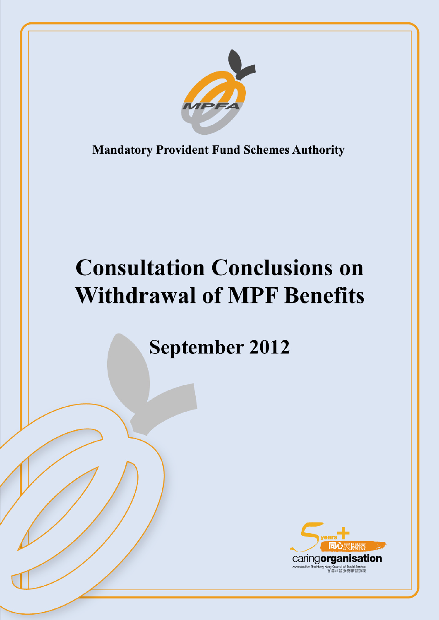

**Mandatory Provident Fund Schemes Authority** 

# **Consultation Conclusions on Withdrawal of MPF Benefits**

**September 2012** 

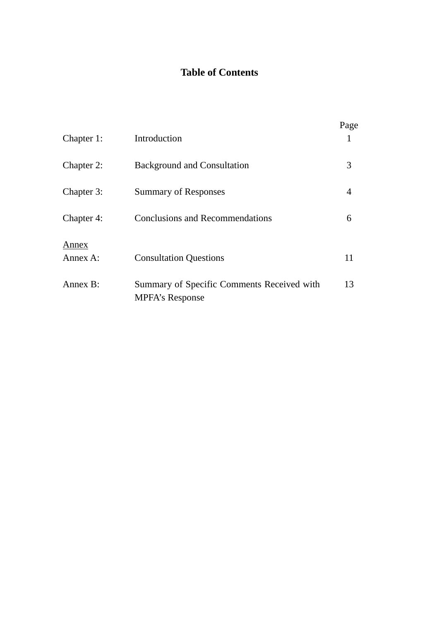# **Table of Contents**

| Chapter 1:        | Introduction                                                         | Page |
|-------------------|----------------------------------------------------------------------|------|
| Chapter 2:        | <b>Background and Consultation</b>                                   | 3    |
| Chapter 3:        | <b>Summary of Responses</b>                                          | 4    |
| Chapter 4:        | <b>Conclusions and Recommendations</b>                               | 6    |
| Annex<br>Annex A: | <b>Consultation Questions</b>                                        | 11   |
| Annex B:          | Summary of Specific Comments Received with<br><b>MPFA's Response</b> | 13   |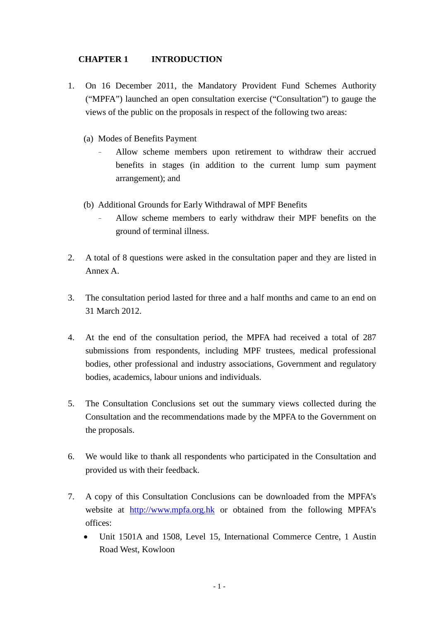### **CHAPTER 1 INTRODUCTION**

- 1. On 16 December 2011, the Mandatory Provident Fund Schemes Authority ("MPFA") launched an open consultation exercise ("Consultation") to gauge the views of the public on the proposals in respect of the following two areas:
	- (a) Modes of Benefits Payment
		- Allow scheme members upon retirement to withdraw their accrued benefits in stages (in addition to the current lump sum payment arrangement); and
	- (b) Additional Grounds for Early Withdrawal of MPF Benefits
		- Allow scheme members to early withdraw their MPF benefits on the ground of terminal illness.
- 2. A total of 8 questions were asked in the consultation paper and they are listed in Annex A.
- 3. The consultation period lasted for three and a half months and came to an end on 31 March 2012.
- 4. At the end of the consultation period, the MPFA had received a total of 287 submissions from respondents, including MPF trustees, medical professional bodies, other professional and industry associations, Government and regulatory bodies, academics, labour unions and individuals.
- 5. The Consultation Conclusions set out the summary views collected during the Consultation and the recommendations made by the MPFA to the Government on the proposals.
- 6. We would like to thank all respondents who participated in the Consultation and provided us with their feedback.
- 7. A copy of this Consultation Conclusions can be downloaded from the MPFA's website at [http://www.mpfa.org.hk](http://www.mpfa.org.hk/) or obtained from the following MPFA's offices:
	- Unit 1501A and 1508, Level 15, International Commerce Centre, 1 Austin Road West, Kowloon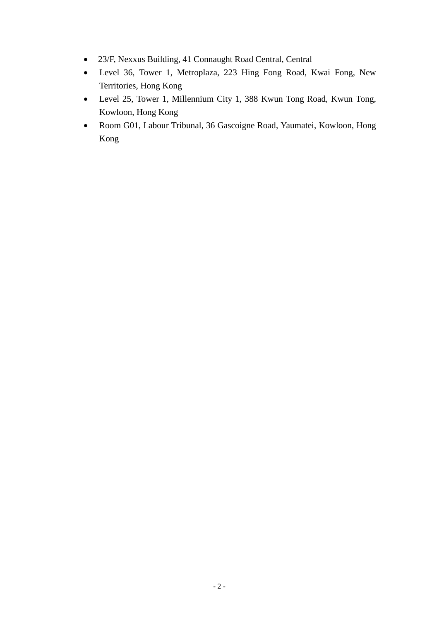- 23/F, Nexxus Building, 41 Connaught Road Central, Central
- Level 36, Tower 1, Metroplaza, 223 Hing Fong Road, Kwai Fong, New Territories, Hong Kong
- Level 25, Tower 1, Millennium City 1, 388 Kwun Tong Road, Kwun Tong, Kowloon, Hong Kong
- Room G01, Labour Tribunal, 36 Gascoigne Road, Yaumatei, Kowloon, Hong Kong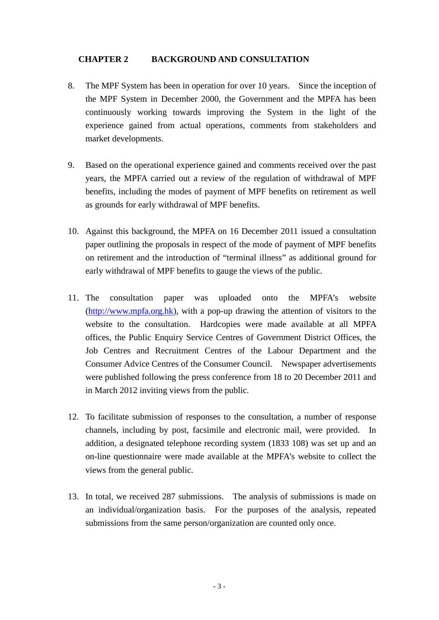#### **CHAPTER 2 BACKGROUND AND CONSULTATION**

- 8. The MPF System has been in operation for over 10 years. Since the inception of the MPF System in December 2000, the Government and the MPFA has been continuously working towards improving the System in the light of the experience gained from actual operations, comments from stakeholders and market developments.
- 9. Based on the operational experience gained and comments received over the past years, the MPFA carried out a review of the regulation of withdrawal of MPF benefits, including the modes of payment of MPF benefits on retirement as well as grounds for early withdrawal of MPF benefits.
- 10. Against this background, the MPFA on 16 December 2011 issued a consultation paper outlining the proposals in respect of the mode of payment of MPF benefits on retirement and the introduction of "terminal illness" as additional ground for early withdrawal of MPF benefits to gauge the views of the public.
- 11. The consultation paper was uploaded onto the MPFA's website [\(http://www.mpfa.org.hk\)](http://www.mpfa.org.hk/), with a pop-up drawing the attention of visitors to the website to the consultation. Hardcopies were made available at all MPFA offices, the Public Enquiry Service Centres of Government District Offices, the Job Centres and Recruitment Centres of the Labour Department and the Consumer Advice Centres of the Consumer Council. Newspaper advertisements were published following the press conference from 18 to 20 December 2011 and in March 2012 inviting views from the public.
- 12. To facilitate submission of responses to the consultation, a number of response channels, including by post, facsimile and electronic mail, were provided. In addition, a designated telephone recording system (1833 108) was set up and an on-line questionnaire were made available at the MPFA's website to collect the views from the general public.
- 13. In total, we received 287 submissions. The analysis of submissions is made on an individual/organization basis. For the purposes of the analysis, repeated submissions from the same person/organization are counted only once.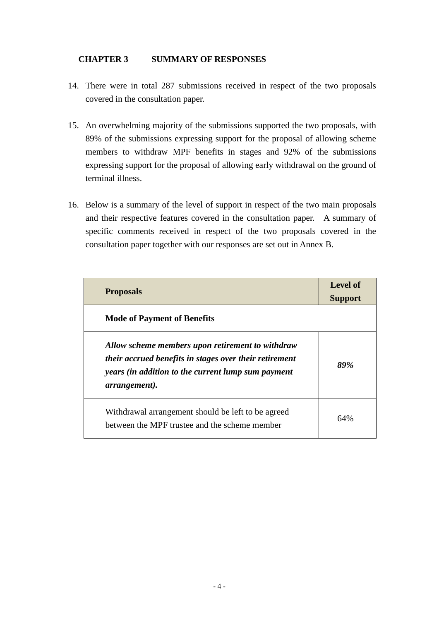#### **CHAPTER 3 SUMMARY OF RESPONSES**

- 14. There were in total 287 submissions received in respect of the two proposals covered in the consultation paper.
- 15. An overwhelming majority of the submissions supported the two proposals, with 89% of the submissions expressing support for the proposal of allowing scheme members to withdraw MPF benefits in stages and 92% of the submissions expressing support for the proposal of allowing early withdrawal on the ground of terminal illness.
- 16. Below is a summary of the level of support in respect of the two main proposals and their respective features covered in the consultation paper. A summary of specific comments received in respect of the two proposals covered in the consultation paper together with our responses are set out in Annex B.

| <b>Proposals</b>                                                                                                                                                                          | Level of<br><b>Support</b> |
|-------------------------------------------------------------------------------------------------------------------------------------------------------------------------------------------|----------------------------|
| <b>Mode of Payment of Benefits</b>                                                                                                                                                        |                            |
| Allow scheme members upon retirement to withdraw<br>their accrued benefits in stages over their retirement<br>years (in addition to the current lump sum payment<br><i>arrangement</i> ). | 89%                        |
| Withdrawal arrangement should be left to be agreed<br>between the MPF trustee and the scheme member                                                                                       | 64%                        |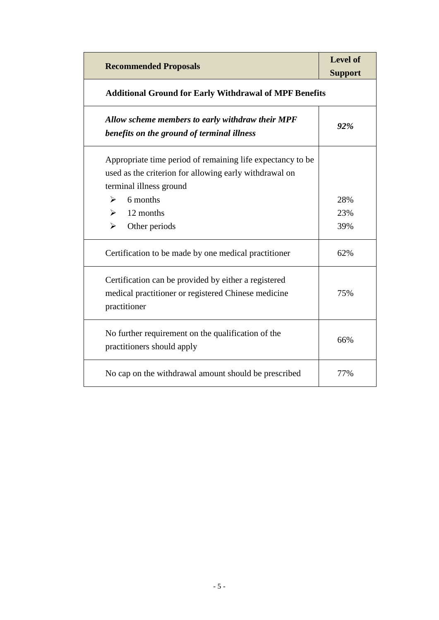| <b>Recommended Proposals</b>                                                                                                                    | <b>Level of</b><br><b>Support</b> |  |
|-------------------------------------------------------------------------------------------------------------------------------------------------|-----------------------------------|--|
| <b>Additional Ground for Early Withdrawal of MPF Benefits</b>                                                                                   |                                   |  |
| Allow scheme members to early withdraw their MPF<br>benefits on the ground of terminal illness                                                  | 92%                               |  |
| Appropriate time period of remaining life expectancy to be<br>used as the criterion for allowing early withdrawal on<br>terminal illness ground |                                   |  |
| 6 months<br>➤                                                                                                                                   | 28%                               |  |
| 12 months<br>➤                                                                                                                                  | 23%                               |  |
| $\blacktriangleright$<br>Other periods                                                                                                          | 39%                               |  |
| Certification to be made by one medical practitioner                                                                                            | 62%                               |  |
| Certification can be provided by either a registered<br>medical practitioner or registered Chinese medicine<br>practitioner                     | 75%                               |  |
| No further requirement on the qualification of the<br>practitioners should apply                                                                | 66%                               |  |
| No cap on the withdrawal amount should be prescribed                                                                                            | 77%                               |  |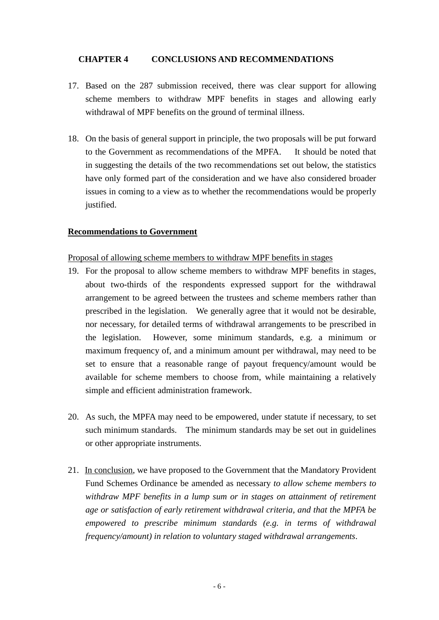#### **CHAPTER 4 CONCLUSIONS AND RECOMMENDATIONS**

- 17. Based on the 287 submission received, there was clear support for allowing scheme members to withdraw MPF benefits in stages and allowing early withdrawal of MPF benefits on the ground of terminal illness.
- 18. On the basis of general support in principle, the two proposals will be put forward to the Government as recommendations of the MPFA. It should be noted that in suggesting the details of the two recommendations set out below, the statistics have only formed part of the consideration and we have also considered broader issues in coming to a view as to whether the recommendations would be properly justified.

#### **Recommendations to Government**

Proposal of allowing scheme members to withdraw MPF benefits in stages

- 19. For the proposal to allow scheme members to withdraw MPF benefits in stages, about two-thirds of the respondents expressed support for the withdrawal arrangement to be agreed between the trustees and scheme members rather than prescribed in the legislation. We generally agree that it would not be desirable, nor necessary, for detailed terms of withdrawal arrangements to be prescribed in the legislation. However, some minimum standards, e.g. a minimum or maximum frequency of, and a minimum amount per withdrawal, may need to be set to ensure that a reasonable range of payout frequency/amount would be available for scheme members to choose from, while maintaining a relatively simple and efficient administration framework.
- 20. As such, the MPFA may need to be empowered, under statute if necessary, to set such minimum standards. The minimum standards may be set out in guidelines or other appropriate instruments.
- 21. In conclusion, we have proposed to the Government that the Mandatory Provident Fund Schemes Ordinance be amended as necessary *to allow scheme members to withdraw MPF benefits in a lump sum or in stages on attainment of retirement age or satisfaction of early retirement withdrawal criteria, and that the MPFA be empowered to prescribe minimum standards (e.g. in terms of withdrawal frequency/amount) in relation to voluntary staged withdrawal arrangements*.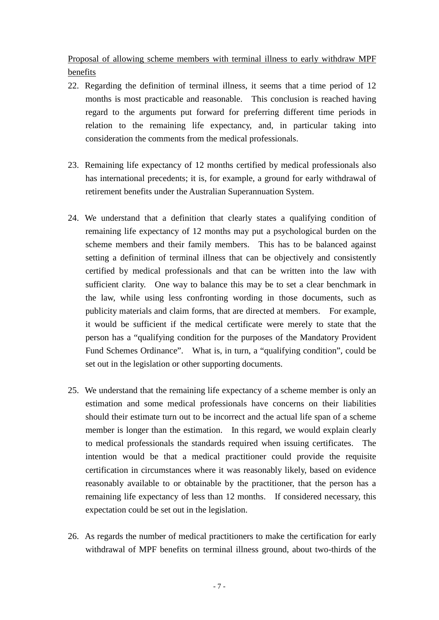Proposal of allowing scheme members with terminal illness to early withdraw MPF benefits

- 22. Regarding the definition of terminal illness, it seems that a time period of 12 months is most practicable and reasonable. This conclusion is reached having regard to the arguments put forward for preferring different time periods in relation to the remaining life expectancy, and, in particular taking into consideration the comments from the medical professionals.
- 23. Remaining life expectancy of 12 months certified by medical professionals also has international precedents; it is, for example, a ground for early withdrawal of retirement benefits under the Australian Superannuation System.
- 24. We understand that a definition that clearly states a qualifying condition of remaining life expectancy of 12 months may put a psychological burden on the scheme members and their family members. This has to be balanced against setting a definition of terminal illness that can be objectively and consistently certified by medical professionals and that can be written into the law with sufficient clarity. One way to balance this may be to set a clear benchmark in the law, while using less confronting wording in those documents, such as publicity materials and claim forms, that are directed at members. For example, it would be sufficient if the medical certificate were merely to state that the person has a "qualifying condition for the purposes of the Mandatory Provident Fund Schemes Ordinance". What is, in turn, a "qualifying condition", could be set out in the legislation or other supporting documents.
- 25. We understand that the remaining life expectancy of a scheme member is only an estimation and some medical professionals have concerns on their liabilities should their estimate turn out to be incorrect and the actual life span of a scheme member is longer than the estimation. In this regard, we would explain clearly to medical professionals the standards required when issuing certificates. The intention would be that a medical practitioner could provide the requisite certification in circumstances where it was reasonably likely, based on evidence reasonably available to or obtainable by the practitioner, that the person has a remaining life expectancy of less than 12 months. If considered necessary, this expectation could be set out in the legislation.
- 26. As regards the number of medical practitioners to make the certification for early withdrawal of MPF benefits on terminal illness ground, about two-thirds of the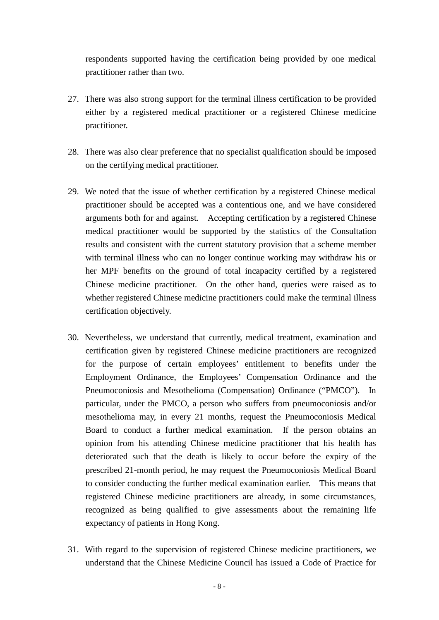respondents supported having the certification being provided by one medical practitioner rather than two.

- 27. There was also strong support for the terminal illness certification to be provided either by a registered medical practitioner or a registered Chinese medicine practitioner.
- 28. There was also clear preference that no specialist qualification should be imposed on the certifying medical practitioner.
- 29. We noted that the issue of whether certification by a registered Chinese medical practitioner should be accepted was a contentious one, and we have considered arguments both for and against. Accepting certification by a registered Chinese medical practitioner would be supported by the statistics of the Consultation results and consistent with the current statutory provision that a scheme member with terminal illness who can no longer continue working may withdraw his or her MPF benefits on the ground of total incapacity certified by a registered Chinese medicine practitioner. On the other hand, queries were raised as to whether registered Chinese medicine practitioners could make the terminal illness certification objectively.
- 30. Nevertheless, we understand that currently, medical treatment, examination and certification given by registered Chinese medicine practitioners are recognized for the purpose of certain employees' entitlement to benefits under the Employment Ordinance, the Employees' Compensation Ordinance and the Pneumoconiosis and Mesothelioma (Compensation) Ordinance ("PMCO"). In particular, under the PMCO, a person who suffers from pneumoconiosis and/or mesothelioma may, in every 21 months, request the Pneumoconiosis Medical Board to conduct a further medical examination. If the person obtains an opinion from his attending Chinese medicine practitioner that his health has deteriorated such that the death is likely to occur before the expiry of the prescribed 21-month period, he may request the Pneumoconiosis Medical Board to consider conducting the further medical examination earlier. This means that registered Chinese medicine practitioners are already, in some circumstances, recognized as being qualified to give assessments about the remaining life expectancy of patients in Hong Kong.
- 31. With regard to the supervision of registered Chinese medicine practitioners, we understand that the Chinese Medicine Council has issued a Code of Practice for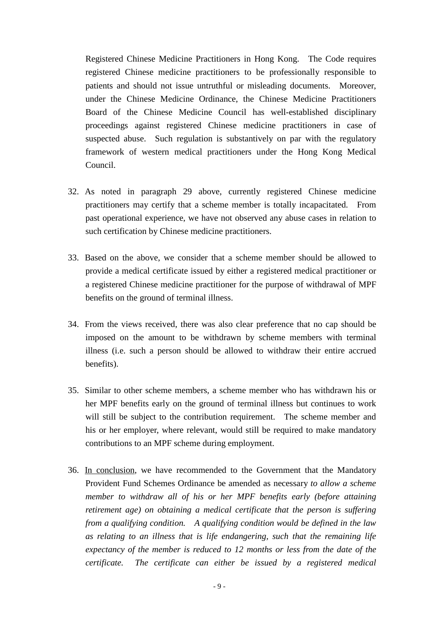Registered Chinese Medicine Practitioners in Hong Kong. The Code requires registered Chinese medicine practitioners to be professionally responsible to patients and should not issue untruthful or misleading documents. Moreover, under the Chinese Medicine Ordinance, the Chinese Medicine Practitioners Board of the Chinese Medicine Council has well-established disciplinary proceedings against registered Chinese medicine practitioners in case of suspected abuse. Such regulation is substantively on par with the regulatory framework of western medical practitioners under the Hong Kong Medical Council.

- 32. As noted in paragraph 29 above, currently registered Chinese medicine practitioners may certify that a scheme member is totally incapacitated. From past operational experience, we have not observed any abuse cases in relation to such certification by Chinese medicine practitioners.
- 33. Based on the above, we consider that a scheme member should be allowed to provide a medical certificate issued by either a registered medical practitioner or a registered Chinese medicine practitioner for the purpose of withdrawal of MPF benefits on the ground of terminal illness.
- 34. From the views received, there was also clear preference that no cap should be imposed on the amount to be withdrawn by scheme members with terminal illness (i.e. such a person should be allowed to withdraw their entire accrued benefits).
- 35. Similar to other scheme members, a scheme member who has withdrawn his or her MPF benefits early on the ground of terminal illness but continues to work will still be subject to the contribution requirement. The scheme member and his or her employer, where relevant, would still be required to make mandatory contributions to an MPF scheme during employment.
- 36. In conclusion, we have recommended to the Government that the Mandatory Provident Fund Schemes Ordinance be amended as necessary *to allow a scheme member to withdraw all of his or her MPF benefits early (before attaining retirement age) on obtaining a medical certificate that the person is suffering from a qualifying condition. A qualifying condition would be defined in the law as relating to an illness that is life endangering, such that the remaining life expectancy of the member is reduced to 12 months or less from the date of the certificate. The certificate can either be issued by a registered medical*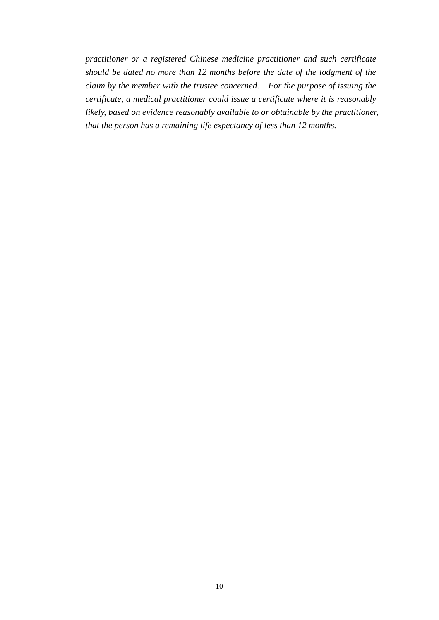*practitioner or a registered Chinese medicine practitioner and such certificate should be dated no more than 12 months before the date of the lodgment of the claim by the member with the trustee concerned. For the purpose of issuing the certificate, a medical practitioner could issue a certificate where it is reasonably likely, based on evidence reasonably available to or obtainable by the practitioner, that the person has a remaining life expectancy of less than 12 months.*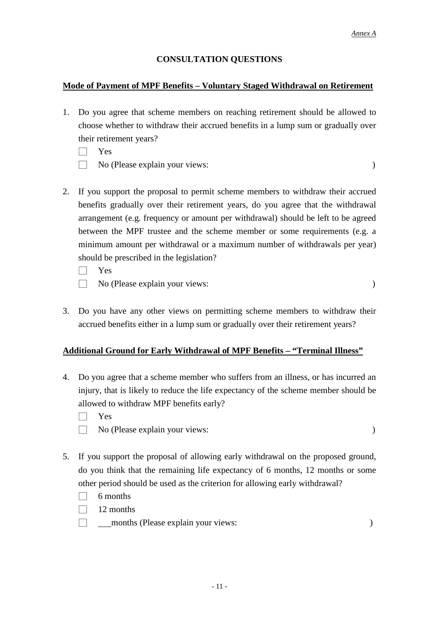#### **CONSULTATION QUESTIONS**

#### **Mode of Payment of MPF Benefits – Voluntary Staged Withdrawal on Retirement**

- 1. Do you agree that scheme members on reaching retirement should be allowed to choose whether to withdraw their accrued benefits in a lump sum or gradually over their retirement years?
	- □ Yes
	- □ No (Please explain your views: )

- 2. If you support the proposal to permit scheme members to withdraw their accrued benefits gradually over their retirement years, do you agree that the withdrawal arrangement (e.g. frequency or amount per withdrawal) should be left to be agreed between the MPF trustee and the scheme member or some requirements (e.g. a minimum amount per withdrawal or a maximum number of withdrawals per year) should be prescribed in the legislation?
	- □ Yes
	- □ No (Please explain your views: )

3. Do you have any other views on permitting scheme members to withdraw their accrued benefits either in a lump sum or gradually over their retirement years?

#### **Additional Ground for Early Withdrawal of MPF Benefits – "Terminal Illness"**

- 4. Do you agree that a scheme member who suffers from an illness, or has incurred an injury, that is likely to reduce the life expectancy of the scheme member should be allowed to withdraw MPF benefits early?
	- □ Yes
	- □ No (Please explain your views: )
- 5. If you support the proposal of allowing early withdrawal on the proposed ground, do you think that the remaining life expectancy of 6 months, 12 months or some other period should be used as the criterion for allowing early withdrawal?
	- $\Box$  6 months
	- $\Box$  12 months
	- □ months (Please explain your views: )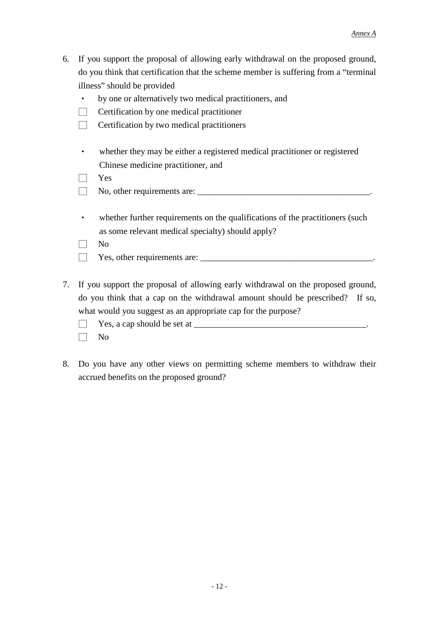- 6. If you support the proposal of allowing early withdrawal on the proposed ground, do you think that certification that the scheme member is suffering from a "terminal illness" should be provided
	- by one or alternatively two medical practitioners, and
	- $\Box$  Certification by one medical practitioner
	- $\Box$  Certification by two medical practitioners
	- whether they may be either a registered medical practitioner or registered Chinese medicine practitioner, and

□ Yes

- □ No, other requirements are: \_\_\_\_\_\_\_\_\_\_\_\_\_\_\_\_\_\_\_\_\_\_\_\_\_\_\_\_\_\_\_\_\_\_\_\_\_\_\_.
- whether further requirements on the qualifications of the practitioners (such as some relevant medical specialty) should apply?

□ No

- □ Yes, other requirements are: \_\_\_\_\_\_\_\_\_\_\_\_\_\_\_\_\_\_\_\_\_\_\_\_\_\_\_\_\_\_\_\_\_\_\_\_\_\_\_.
- 7. If you support the proposal of allowing early withdrawal on the proposed ground, do you think that a cap on the withdrawal amount should be prescribed? If so, what would you suggest as an appropriate cap for the purpose?
	- $\Box$  Yes, a cap should be set at  $\Box$
	- $\Box$  No
- 8. Do you have any other views on permitting scheme members to withdraw their accrued benefits on the proposed ground?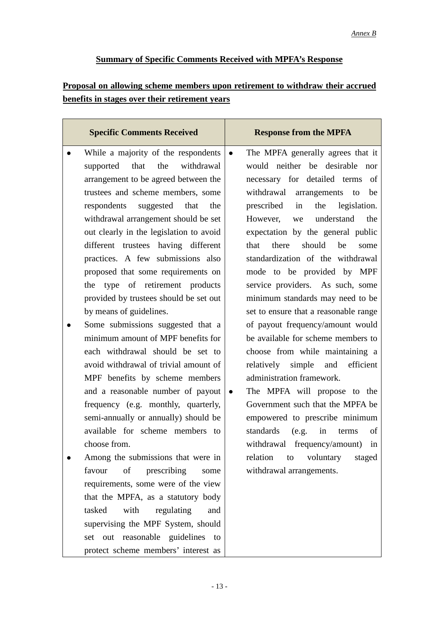# **Summary of Specific Comments Received with MPFA's Response**

# **Proposal on allowing scheme members upon retirement to withdraw their accrued benefits in stages over their retirement years**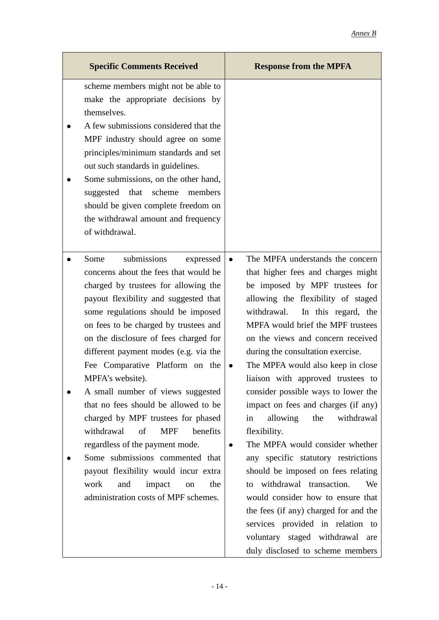| <b>Specific Comments Received</b>                                                                                                                                                                                                                                                                                                                                                                                                                                                                                                                                                                                                                                                                                                               | <b>Response from the MPFA</b>                                                                                                                                                                                                                                                                                                                                                                                                                                                                                                                                                                                                                                                                                                                                                                                                                                                             |
|-------------------------------------------------------------------------------------------------------------------------------------------------------------------------------------------------------------------------------------------------------------------------------------------------------------------------------------------------------------------------------------------------------------------------------------------------------------------------------------------------------------------------------------------------------------------------------------------------------------------------------------------------------------------------------------------------------------------------------------------------|-------------------------------------------------------------------------------------------------------------------------------------------------------------------------------------------------------------------------------------------------------------------------------------------------------------------------------------------------------------------------------------------------------------------------------------------------------------------------------------------------------------------------------------------------------------------------------------------------------------------------------------------------------------------------------------------------------------------------------------------------------------------------------------------------------------------------------------------------------------------------------------------|
| scheme members might not be able to<br>make the appropriate decisions by<br>themselves.<br>A few submissions considered that the<br>MPF industry should agree on some<br>principles/minimum standards and set<br>out such standards in guidelines.<br>Some submissions, on the other hand,<br>suggested that scheme<br>members<br>should be given complete freedom on<br>the withdrawal amount and frequency<br>of withdrawal.                                                                                                                                                                                                                                                                                                                  |                                                                                                                                                                                                                                                                                                                                                                                                                                                                                                                                                                                                                                                                                                                                                                                                                                                                                           |
| submissions<br>Some<br>expressed<br>concerns about the fees that would be<br>charged by trustees for allowing the<br>payout flexibility and suggested that<br>some regulations should be imposed<br>on fees to be charged by trustees and<br>on the disclosure of fees charged for<br>different payment modes (e.g. via the<br>Fee Comparative Platform on the<br>MPFA's website).<br>A small number of views suggested<br>that no fees should be allowed to be<br>charged by MPF trustees for phased<br>withdrawal<br>of<br><b>MPF</b><br>benefits<br>regardless of the payment mode.<br>Some submissions commented that<br>payout flexibility would incur extra<br>work<br>and<br>impact<br>the<br>on<br>administration costs of MPF schemes. | The MPFA understands the concern<br>$\bullet$<br>that higher fees and charges might<br>be imposed by MPF trustees for<br>allowing the flexibility of staged<br>withdrawal.<br>In this regard, the<br>MPFA would brief the MPF trustees<br>on the views and concern received<br>during the consultation exercise.<br>The MPFA would also keep in close<br>liaison with approved trustees to<br>consider possible ways to lower the<br>impact on fees and charges (if any)<br>allowing<br>the<br>withdrawal<br>in<br>flexibility.<br>The MPFA would consider whether<br>$\bullet$<br>any specific statutory restrictions<br>should be imposed on fees relating<br>to withdrawal transaction.<br>We<br>would consider how to ensure that<br>the fees (if any) charged for and the<br>services provided in relation to<br>voluntary staged withdrawal are<br>duly disclosed to scheme members |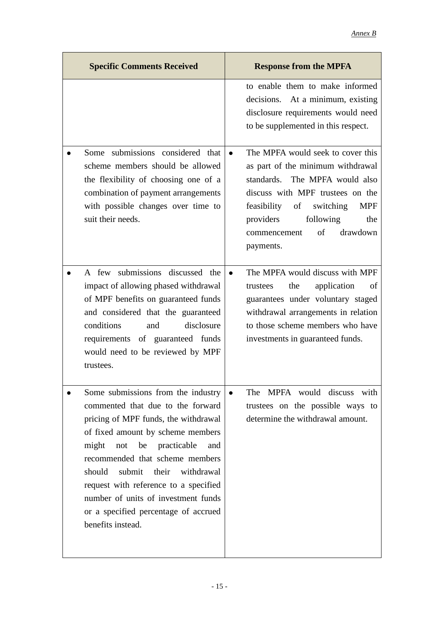| <b>Specific Comments Received</b>                                                                                                                                                                                                                                                                                                                                                                                        | <b>Response from the MPFA</b>                                                                                                                                                                                                                                                       |
|--------------------------------------------------------------------------------------------------------------------------------------------------------------------------------------------------------------------------------------------------------------------------------------------------------------------------------------------------------------------------------------------------------------------------|-------------------------------------------------------------------------------------------------------------------------------------------------------------------------------------------------------------------------------------------------------------------------------------|
|                                                                                                                                                                                                                                                                                                                                                                                                                          | to enable them to make informed<br>decisions. At a minimum, existing<br>disclosure requirements would need<br>to be supplemented in this respect.                                                                                                                                   |
| Some submissions considered that<br>scheme members should be allowed<br>the flexibility of choosing one of a<br>combination of payment arrangements<br>with possible changes over time to<br>suit their needs.                                                                                                                                                                                                           | The MPFA would seek to cover this<br>$\bullet$<br>as part of the minimum withdrawal<br>standards. The MPFA would also<br>discuss with MPF trustees on the<br>feasibility of switching<br><b>MPF</b><br>providers<br>following<br>the<br>of<br>drawdown<br>commencement<br>payments. |
| A few submissions discussed the<br>impact of allowing phased withdrawal<br>of MPF benefits on guaranteed funds<br>and considered that the guaranteed<br>disclosure<br>conditions<br>and<br>requirements of guaranteed funds<br>would need to be reviewed by MPF<br>trustees.                                                                                                                                             | The MPFA would discuss with MPF<br>the<br>application<br>of<br>trustees<br>guarantees under voluntary staged<br>withdrawal arrangements in relation<br>to those scheme members who have<br>investments in guaranteed funds.                                                         |
| Some submissions from the industry<br>commented that due to the forward<br>pricing of MPF funds, the withdrawal<br>of fixed amount by scheme members<br>be practicable<br>might<br>not<br>and<br>recommended that scheme members<br>submit<br>should<br>their<br>withdrawal<br>request with reference to a specified<br>number of units of investment funds<br>or a specified percentage of accrued<br>benefits instead. | The MPFA would discuss<br>with<br>trustees on the possible ways to<br>determine the withdrawal amount.                                                                                                                                                                              |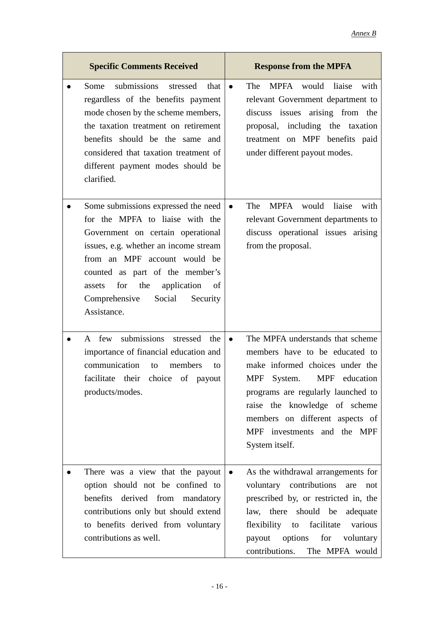| <b>Specific Comments Received</b>                                                                                                                                                                                                                                                                                                  | <b>Response from the MPFA</b>                                                                                                                                                                                                                                                                                           |
|------------------------------------------------------------------------------------------------------------------------------------------------------------------------------------------------------------------------------------------------------------------------------------------------------------------------------------|-------------------------------------------------------------------------------------------------------------------------------------------------------------------------------------------------------------------------------------------------------------------------------------------------------------------------|
| submissions<br>stressed<br>Some<br>that<br>regardless of the benefits payment<br>mode chosen by the scheme members,<br>the taxation treatment on retirement<br>benefits should be the same and<br>considered that taxation treatment of<br>different payment modes should be<br>clarified.                                         | MPFA would liaise<br>with<br>The<br>$\bullet$<br>relevant Government department to<br>discuss issues arising from the<br>proposal, including the taxation<br>treatment on MPF benefits paid<br>under different payout modes.                                                                                            |
| Some submissions expressed the need<br>for the MPFA to liaise with the<br>Government on certain operational<br>issues, e.g. whether an income stream<br>from an MPF account would be<br>counted as part of the member's<br>for<br>the application<br>assets<br><sub>of</sub><br>Social<br>Comprehensive<br>Security<br>Assistance. | The<br><b>MPFA</b><br>would liaise<br>with<br>$\bullet$<br>relevant Government departments to<br>discuss operational issues arising<br>from the proposal.                                                                                                                                                               |
| A few submissions stressed the<br>$\bullet$<br>importance of financial education and<br>communication<br>members<br>to<br>to<br>facilitate their choice of payout<br>products/modes.                                                                                                                                               | The MPFA understands that scheme<br>$\bullet$<br>members have to be educated to<br>make informed choices under the<br><b>MPF</b><br>System.<br>MPF education<br>programs are regularly launched to<br>raise the knowledge of scheme<br>members on different aspects of<br>MPF investments and the MPF<br>System itself. |
| There was a view that the payout<br>option should not be confined to<br>benefits derived from mandatory<br>contributions only but should extend<br>to benefits derived from voluntary<br>contributions as well.                                                                                                                    | As the withdrawal arrangements for<br>$\bullet$<br>voluntary contributions are<br>not<br>prescribed by, or restricted in, the<br>law, there should be adequate<br>flexibility to<br>various<br>facilitate<br>payout options<br>for voluntary<br>contributions.<br>The MPFA would                                        |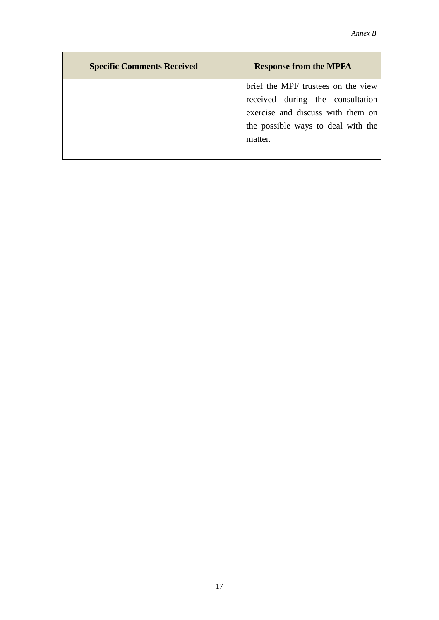| <b>Specific Comments Received</b> | <b>Response from the MPFA</b>      |
|-----------------------------------|------------------------------------|
|                                   | brief the MPF trustees on the view |
|                                   | received during the consultation   |
|                                   | exercise and discuss with them on  |
|                                   | the possible ways to deal with the |
|                                   | matter.                            |
|                                   |                                    |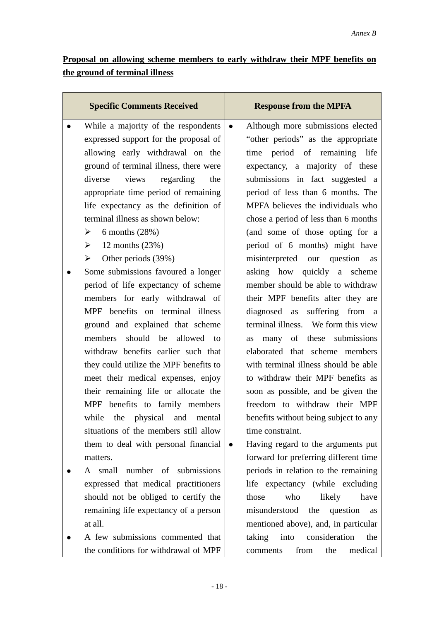# **Proposal on allowing scheme members to early withdraw their MPF benefits on the ground of terminal illness**

| <b>Specific Comments Received</b>       | <b>Response from the MPFA</b>                   |
|-----------------------------------------|-------------------------------------------------|
| While a majority of the respondents     | Although more submissions elected<br>$\bullet$  |
| expressed support for the proposal of   | "other periods" as the appropriate              |
| allowing early withdrawal on the        | time period of remaining life                   |
| ground of terminal illness, there were  | expectancy, a majority of these                 |
| diverse views regarding<br>the          | submissions in fact suggested a                 |
| appropriate time period of remaining    | period of less than 6 months. The               |
| life expectancy as the definition of    | MPFA believes the individuals who               |
| terminal illness as shown below:        | chose a period of less than 6 months            |
| 6 months $(28%)$<br>➤                   | (and some of those opting for a                 |
| $\geq 12$ months (23%)                  | period of 6 months) might have                  |
| Other periods (39%)<br>$\triangleright$ | misinterpreted our question as                  |
| Some submissions favoured a longer      | asking how quickly a scheme                     |
| period of life expectancy of scheme     | member should be able to withdraw               |
| members for early withdrawal of         | their MPF benefits after they are               |
| MPF benefits on terminal illness        | diagnosed as suffering from a                   |
| ground and explained that scheme        | terminal illness. We form this view             |
| members should be allowed to            | many of these submissions<br>as                 |
| withdraw benefits earlier such that     | elaborated that scheme members                  |
| they could utilize the MPF benefits to  | with terminal illness should be able            |
| meet their medical expenses, enjoy      | to withdraw their MPF benefits as               |
| their remaining life or allocate the    | soon as possible, and be given the              |
| MPF benefits to family members          | freedom to withdraw their MPF                   |
| while<br>the physical and<br>mental     | benefits without being subject to any           |
| situations of the members still allow   | time constraint.                                |
| them to deal with personal financial    | Having regard to the arguments put<br>$\bullet$ |
| matters.                                | forward for preferring different time           |
| small number of submissions<br>A        | periods in relation to the remaining            |
| expressed that medical practitioners    | life expectancy (while excluding                |
| should not be obliged to certify the    | those<br>who<br>likely<br>have                  |
| remaining life expectancy of a person   | misunderstood<br>the<br>question<br>as          |
| at all.                                 | mentioned above), and, in particular            |
| A few submissions commented that        | taking<br>consideration<br>the<br>into          |
| the conditions for withdrawal of MPF    | medical<br>from<br>the<br>comments              |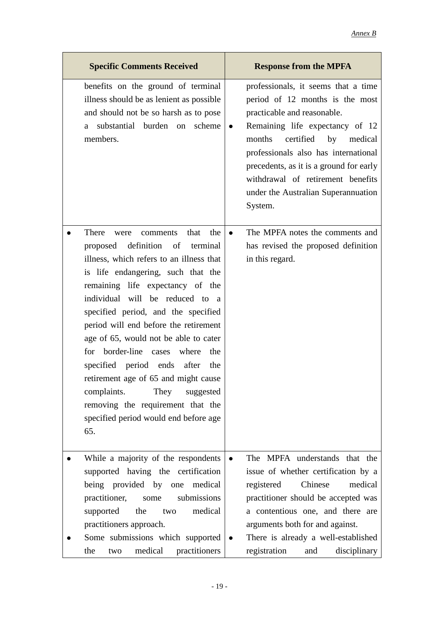| <b>Specific Comments Received</b>                                                                                                                                                                                                                                                                                                                                                                                                                                                                                                                                                                             | <b>Response from the MPFA</b>                                                                                                                                                                                                                                                                                                                                           |
|---------------------------------------------------------------------------------------------------------------------------------------------------------------------------------------------------------------------------------------------------------------------------------------------------------------------------------------------------------------------------------------------------------------------------------------------------------------------------------------------------------------------------------------------------------------------------------------------------------------|-------------------------------------------------------------------------------------------------------------------------------------------------------------------------------------------------------------------------------------------------------------------------------------------------------------------------------------------------------------------------|
| benefits on the ground of terminal<br>illness should be as lenient as possible.<br>and should not be so harsh as to pose<br>substantial burden on<br>scheme<br>a<br>members.                                                                                                                                                                                                                                                                                                                                                                                                                                  | professionals, it seems that a time<br>period of 12 months is the most<br>practicable and reasonable.<br>Remaining life expectancy of 12<br>$\bullet$<br>months<br>certified<br>by<br>medical<br>professionals also has international<br>precedents, as it is a ground for early<br>withdrawal of retirement benefits<br>under the Australian Superannuation<br>System. |
| There<br>that<br>the<br>comments<br>were<br>definition of terminal<br>proposed<br>illness, which refers to an illness that<br>is life endangering, such that the<br>remaining life expectancy of the<br>individual will be reduced to a<br>specified period, and the specified<br>period will end before the retirement<br>age of 65, would not be able to cater<br>for border-line cases where<br>the<br>specified period ends after<br>the<br>retirement age of 65 and might cause<br>They<br>complaints.<br>suggested<br>removing the requirement that the<br>specified period would end before age<br>65. | The MPFA notes the comments and<br>$\bullet$<br>has revised the proposed definition<br>in this regard.                                                                                                                                                                                                                                                                  |
| While a majority of the respondents<br>supported having the certification<br>being provided by one medical<br>practitioner,<br>submissions<br>some<br>medical<br>the<br>supported<br>two<br>practitioners approach.<br>Some submissions which supported<br>medical<br>practitioners<br>the<br>two                                                                                                                                                                                                                                                                                                             | The MPFA understands that the<br>issue of whether certification by a<br>Chinese<br>medical<br>registered<br>practitioner should be accepted was<br>a contentious one, and there are<br>arguments both for and against.<br>There is already a well-established<br>registration<br>disciplinary<br>and                                                                    |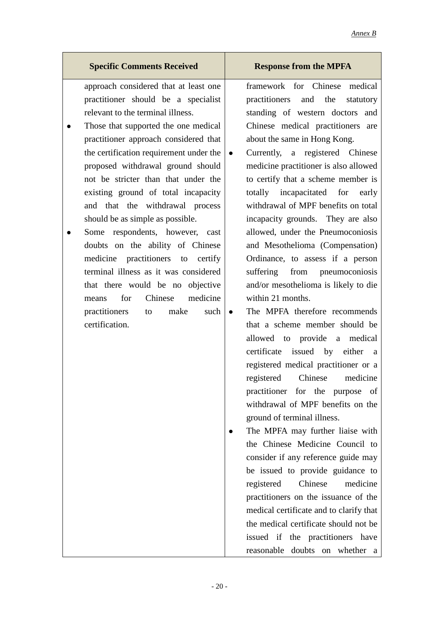#### *Annex B*

# **Specific Comments Received Response from the MPFA**

approach considered that at least one practitioner should be a specialist relevant to the terminal illness.

- Those that supported the one medical practitioner approach considered that the certification requirement under the proposed withdrawal ground should not be stricter than that under the existing ground of total incapacity and that the withdrawal process should be as simple as possible.
- Some respondents, however, cast doubts on the ability of Chinese medicine practitioners to certify terminal illness as it was considered that there would be no objective means for Chinese medicine practitioners to make such certification.

- framework for Chinese medical practitioners and the statutory standing of western doctors and Chinese medical practitioners are about the same in Hong Kong.
- Currently, a registered Chinese medicine practitioner is also allowed to certify that a scheme member is totally incapacitated for early withdrawal of MPF benefits on total incapacity grounds. They are also allowed, under the Pneumoconiosis and Mesothelioma (Compensation) Ordinance, to assess if a person suffering from pneumoconiosis and/or mesothelioma is likely to die within 21 months.
- The MPFA therefore recommends that a scheme member should be allowed to provide a medical certificate issued by either a registered medical practitioner or a registered Chinese medicine practitioner for the purpose of withdrawal of MPF benefits on the ground of terminal illness.
- The MPFA may further liaise with the Chinese Medicine Council to consider if any reference guide may be issued to provide guidance to registered Chinese medicine practitioners on the issuance of the medical certificate and to clarify that the medical certificate should not be issued if the practitioners have reasonable doubts on whether a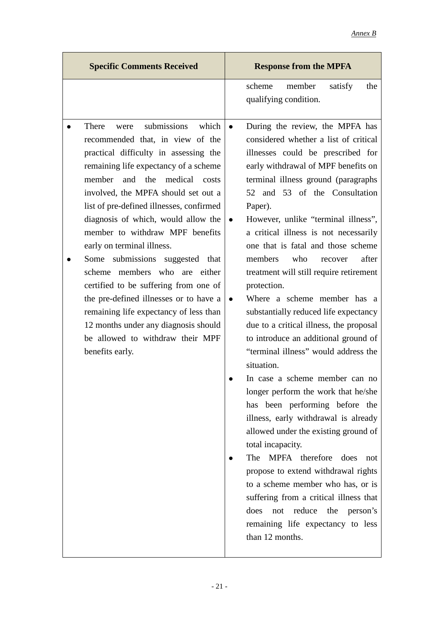| <b>Specific Comments Received</b>                                                                                                                                                                                                                                                                                                                                                                                                                                                                                                                                                                                                                                                                  | <b>Response from the MPFA</b>                                                                                                                                                                                                                                                                                                                                                                                                                                                                                                                                                                                                                                                                                                                                                                                                                                                                                                                                                                                                                                                                                                                                                                      |
|----------------------------------------------------------------------------------------------------------------------------------------------------------------------------------------------------------------------------------------------------------------------------------------------------------------------------------------------------------------------------------------------------------------------------------------------------------------------------------------------------------------------------------------------------------------------------------------------------------------------------------------------------------------------------------------------------|----------------------------------------------------------------------------------------------------------------------------------------------------------------------------------------------------------------------------------------------------------------------------------------------------------------------------------------------------------------------------------------------------------------------------------------------------------------------------------------------------------------------------------------------------------------------------------------------------------------------------------------------------------------------------------------------------------------------------------------------------------------------------------------------------------------------------------------------------------------------------------------------------------------------------------------------------------------------------------------------------------------------------------------------------------------------------------------------------------------------------------------------------------------------------------------------------|
|                                                                                                                                                                                                                                                                                                                                                                                                                                                                                                                                                                                                                                                                                                    | scheme<br>member<br>satisfy<br>the<br>qualifying condition.                                                                                                                                                                                                                                                                                                                                                                                                                                                                                                                                                                                                                                                                                                                                                                                                                                                                                                                                                                                                                                                                                                                                        |
| submissions<br>which<br>There<br>were<br>recommended that, in view of the<br>practical difficulty in assessing the<br>remaining life expectancy of a scheme<br>member<br>and the<br>medical<br>costs<br>involved, the MPFA should set out a<br>list of pre-defined illnesses, confirmed<br>diagnosis of which, would allow the<br>member to withdraw MPF benefits<br>early on terminal illness.<br>Some submissions suggested that<br>scheme members who are<br>either<br>certified to be suffering from one of<br>the pre-defined illnesses or to have a<br>remaining life expectancy of less than<br>12 months under any diagnosis should<br>be allowed to withdraw their MPF<br>benefits early. | During the review, the MPFA has<br>$\bullet$<br>considered whether a list of critical<br>illnesses could be prescribed for<br>early withdrawal of MPF benefits on<br>terminal illness ground (paragraphs)<br>52 and 53 of the Consultation<br>Paper).<br>However, unlike "terminal illness",<br>$\bullet$<br>a critical illness is not necessarily<br>one that is fatal and those scheme<br>who<br>after<br>members<br>recover<br>treatment will still require retirement<br>protection.<br>Where a scheme member has a<br>$\bullet$<br>substantially reduced life expectancy<br>due to a critical illness, the proposal<br>to introduce an additional ground of<br>"terminal illness" would address the<br>situation.<br>In case a scheme member can no<br>longer perform the work that he/she<br>has been performing before the<br>illness, early withdrawal is already<br>allowed under the existing ground of<br>total incapacity.<br>The MPFA therefore<br>does<br>not<br>propose to extend withdrawal rights<br>to a scheme member who has, or is<br>suffering from a critical illness that<br>does<br>reduce<br>the person's<br>not<br>remaining life expectancy to less<br>than 12 months. |